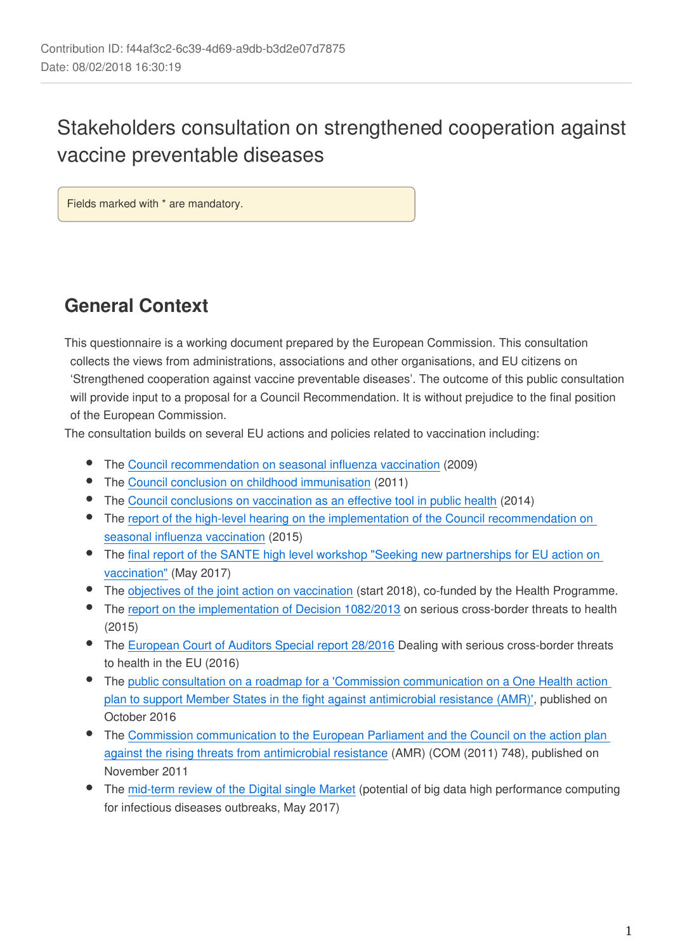# Stakeholders consultation on strengthened cooperation against vaccine preventable diseases

Fields marked with \* are mandatory.

# **General Context**

This questionnaire is a working document prepared by the European Commission. This consultation collects the views from administrations, associations and other organisations, and EU citizens on 'Strengthened cooperation against vaccine preventable diseases'. The outcome of this public consultation will provide input to a proposal for a Council Recommendation. It is without prejudice to the final position of the European Commission.

The consultation builds on several EU actions and policies related to vaccination including:

- The [Council recommendation on seasonal influenza vaccination](http://eur-lex.europa.eu/legal-content/EN/TXT/?uri=CELEX:32009H1019) (2009)
- The [Council conclusion on childhood immunisation](https://ec.europa.eu/health/sites/health/files/vaccination/docs/ev_20170530_frep_en.pdf) (2011)
- $\bullet$ The [Council conclusions on vaccination as an effective tool in public health](http://www.consilium.europa.eu/uedocs/cms_data/docs/pressdata/en/lsa/145973.pdf) (2014)
- The report of the high-level hearing on the implementation of the Council recommendation on [seasonal influenza vaccination](https://ec.europa.eu/health/sites/health/files/preparedness_response/docs/ev_20150429_co21_en.pdf) (2015)
- The [final report of the SANTE high level workshop "Seeking new partnerships for EU action on](https://ec.europa.eu/health/sites/health/files/vaccination/docs/ev_20170530_frep_en.pdf)   $\bullet$ [vaccination"](https://ec.europa.eu/health/sites/health/files/vaccination/docs/ev_20170530_frep_en.pdf) (May 2017)
- $\bullet$ The [objectives of the joint action on vaccination](https://ec.europa.eu/health/vaccination/overview_en) (start 2018), co-funded by the Health Programme.
- The [report on the implementation of Decision 1082/2013](https://ec.europa.eu/health//sites/health/files/preparedness_response/docs/report_decision_serious_crossborder_threats_22102013_en.pdf) on serious cross-border threats to health (2015)
- The [European Court of Auditors Special report 28/2016](https://www.eca.europa.eu/en/Pages/DocItem.aspx?did=40126) Dealing with serious cross-border threats to health in the EU (2016)
- The [public consultation on a roadmap for a 'Commission communication on a One Health action](http://ec.europa.eu/smart-regulation/roadmaps/docs/2016_sante_176_action_plan_against_amr_en.pdf)  [plan to support Member States in the fight against antimicrobial resistance \(AMR\)'](http://ec.europa.eu/smart-regulation/roadmaps/docs/2016_sante_176_action_plan_against_amr_en.pdf), published on October 2016
- The [Commission communication to the European Parliament and the Council on the action plan](https://ec.europa.eu/health/amr/sites/amr/files/communication_amr_2011_748_en.pdf)  [against the rising threats from antimicrobial resistance](https://ec.europa.eu/health/amr/sites/amr/files/communication_amr_2011_748_en.pdf) (AMR) (COM (2011) 748), published on November 2011
- The [mid-term review of the Digital single Market](http://eur-lex.europa.eu/legal-content/EN/TXT/?uri=CELEX:52017DC0228) (potential of big data high performance computing for infectious diseases outbreaks, May 2017)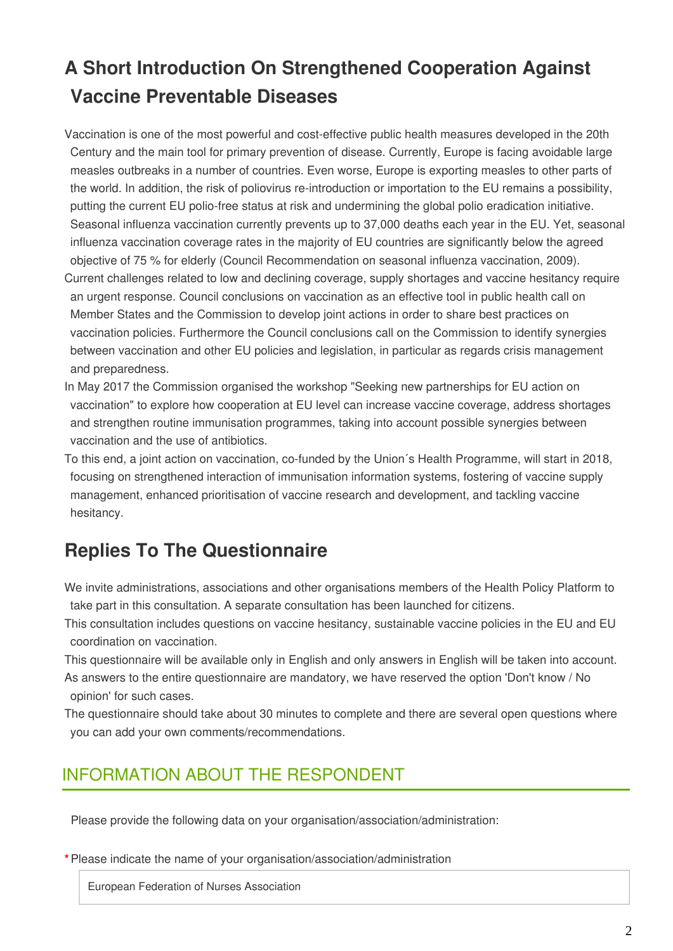# **A Short Introduction On Strengthened Cooperation Against Vaccine Preventable Diseases**

Vaccination is one of the most powerful and cost-effective public health measures developed in the 20th Century and the main tool for primary prevention of disease. Currently, Europe is facing avoidable large measles outbreaks in a number of countries. Even worse, Europe is exporting measles to other parts of the world. In addition, the risk of poliovirus re-introduction or importation to the EU remains a possibility, putting the current EU polio-free status at risk and undermining the global polio eradication initiative. Seasonal influenza vaccination currently prevents up to 37,000 deaths each year in the EU. Yet, seasonal influenza vaccination coverage rates in the majority of EU countries are significantly below the agreed objective of 75 % for elderly (Council Recommendation on seasonal influenza vaccination, 2009). Current challenges related to low and declining coverage, supply shortages and vaccine hesitancy require an urgent response. Council conclusions on vaccination as an effective tool in public health call on Member States and the Commission to develop joint actions in order to share best practices on vaccination policies. Furthermore the Council conclusions call on the Commission to identify synergies between vaccination and other EU policies and legislation, in particular as regards crisis management

and preparedness.

- In May 2017 the Commission organised the workshop "Seeking new partnerships for EU action on vaccination" to explore how cooperation at EU level can increase vaccine coverage, address shortages and strengthen routine immunisation programmes, taking into account possible synergies between vaccination and the use of antibiotics.
- To this end, a joint action on vaccination, co-funded by the Union´s Health Programme, will start in 2018, focusing on strengthened interaction of immunisation information systems, fostering of vaccine supply management, enhanced prioritisation of vaccine research and development, and tackling vaccine hesitancy.

# **Replies To The Questionnaire**

- We invite administrations, associations and other organisations members of the Health Policy Platform to take part in this consultation. A separate consultation has been launched for citizens.
- This consultation includes questions on vaccine hesitancy, sustainable vaccine policies in the EU and EU coordination on vaccination.
- This questionnaire will be available only in English and only answers in English will be taken into account. As answers to the entire questionnaire are mandatory, we have reserved the option 'Don't know / No opinion' for such cases.
- The questionnaire should take about 30 minutes to complete and there are several open questions where you can add your own comments/recommendations.

## INFORMATION ABOUT THE RESPONDENT

Please provide the following data on your organisation/association/administration:

#### **\***Please indicate the name of your organisation/association/administration

European Federation of Nurses Association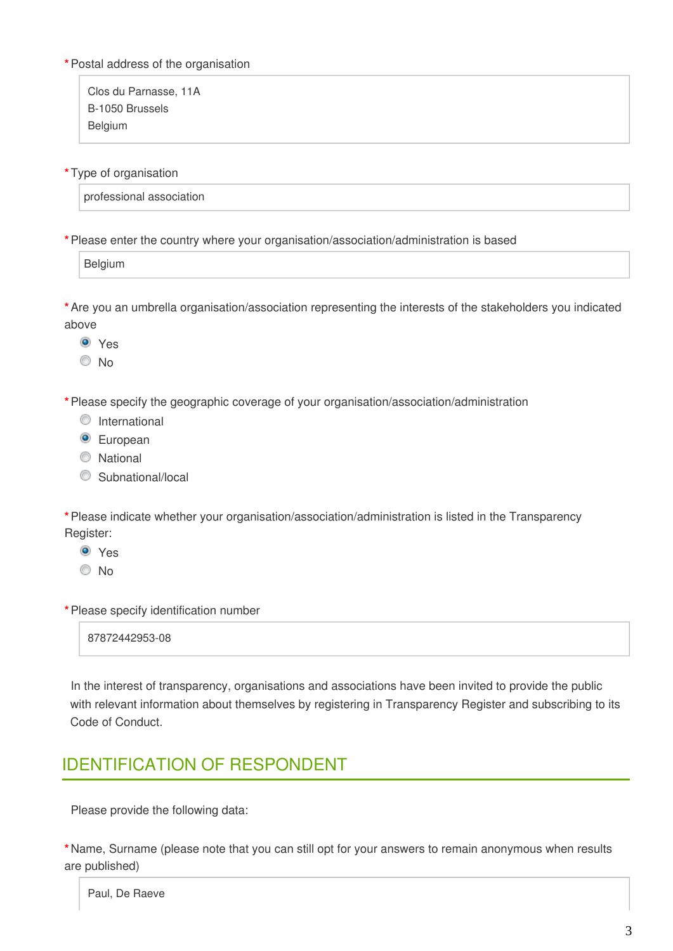#### **\***Postal address of the organisation

Clos du Parnasse, 11A B-1050 Brussels Belgium

**\***Type of organisation

professional association

**\***Please enter the country where your organisation/association/administration is based

**Belgium** 

**\***Are you an umbrella organisation/association representing the interests of the stakeholders you indicated above

<sup>O</sup> Yes

© No

**\***Please specify the geographic coverage of your organisation/association/administration

- **O** International
- <sup>O</sup> European
- C National
- C Subnational/local

**\***Please indicate whether your organisation/association/administration is listed in the Transparency Register:

- Yes
- © No

**\***Please specify identification number

87872442953-08

In the interest of transparency, organisations and associations have been invited to provide the public with relevant information about themselves by registering in Transparency Register and subscribing to its Code of Conduct.

## IDENTIFICATION OF RESPONDENT

Please provide the following data:

**\***Name, Surname (please note that you can still opt for your answers to remain anonymous when results are published)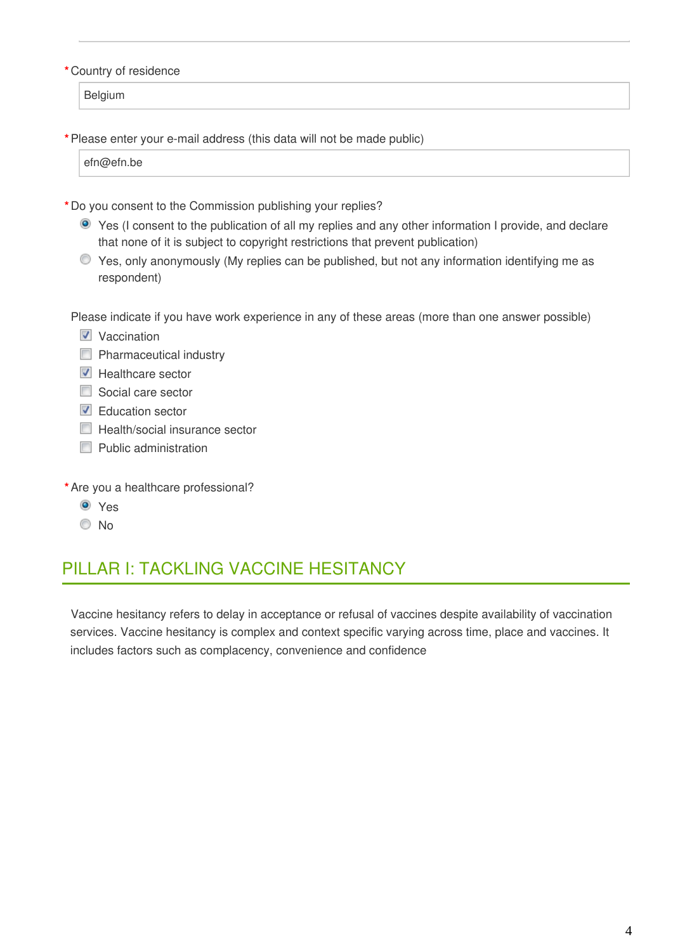#### **\***Country of residence

Belgium

**\***Please enter your e-mail address (this data will not be made public)

efn@efn.be

- **\***Do you consent to the Commission publishing your replies?
	- Yes (I consent to the publication of all my replies and any other information I provide, and declare that none of it is subject to copyright restrictions that prevent publication)
	- Yes, only anonymously (My replies can be published, but not any information identifying me as respondent)

Please indicate if you have work experience in any of these areas (more than one answer possible)

- $\nabla$  Vaccination
- $\Box$  Pharmaceutical industry
- $\triangledown$  Healthcare sector
- Social care sector
- **Education sector**
- $\Box$  Health/social insurance sector
- **Public administration**
- **\***Are you a healthcare professional?
	- <sup>O</sup> Yes
	- <sup>O</sup>No

## PILLAR I: TACKLING VACCINE HESITANCY

Vaccine hesitancy refers to delay in acceptance or refusal of vaccines despite availability of vaccination services. Vaccine hesitancy is complex and context specific varying across time, place and vaccines. It includes factors such as complacency, convenience and confidence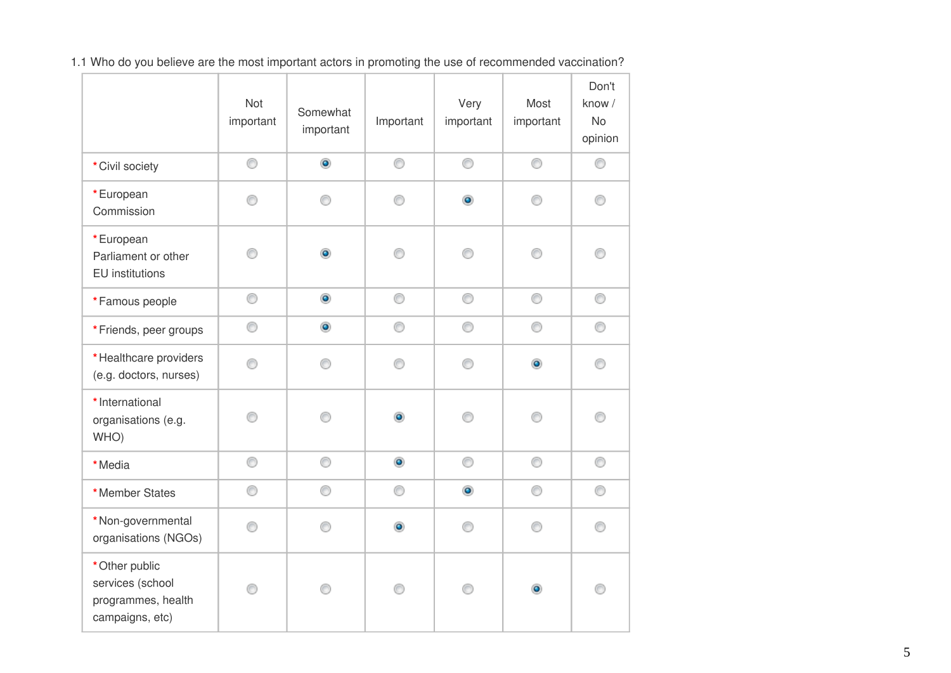1.1 Who do you believe are the most important actors in promoting the use of recommended vaccination?

|                                                                             | Not<br>important | Somewhat<br>important       | Important      | Very<br>important | Most<br>important | Don't<br>know /<br>No<br>opinion |
|-----------------------------------------------------------------------------|------------------|-----------------------------|----------------|-------------------|-------------------|----------------------------------|
| * Civil society                                                             | 0                | $\bullet$                   | 0              | 0                 | 0                 | 0                                |
| *European<br>Commission                                                     | 0                | 0                           | 0              | $\circledcirc$    | ⊙                 | ⊙                                |
| *European<br>Parliament or other<br>EU institutions                         | ∩                | $\bullet$                   | ∩              | ∩                 | ⊙                 | ∩                                |
| *Famous people                                                              | 0                | $\bullet$<br>$\bullet$<br>⊙ | 0              | 0                 | 0                 | 0                                |
| *Friends, peer groups                                                       | 0                |                             | 0              | 0                 | 0                 | 0                                |
| *Healthcare providers<br>(e.g. doctors, nurses)                             | ◉                |                             | 0              | 0                 | $\bullet$         | ⊙                                |
| * International<br>organisations (e.g.<br>WHO)                              | ⋒                | ⋒                           | ۰              | ∩                 | ⊙                 | ∩                                |
| *Media                                                                      | 0                | 0                           | $\circledcirc$ | 0                 | 0                 | 0                                |
| *Member States                                                              | 0                | 0                           | 0              | $\bullet$         | 0                 | 0                                |
| *Non-governmental<br>organisations (NGOs)                                   | ◉                | ⊙                           | $\bullet$      | 0                 | ⊙                 | ⊙                                |
| * Other public<br>services (school<br>programmes, health<br>campaigns, etc) |                  |                             | ∩              | ⋒                 | ۰                 | ⋒                                |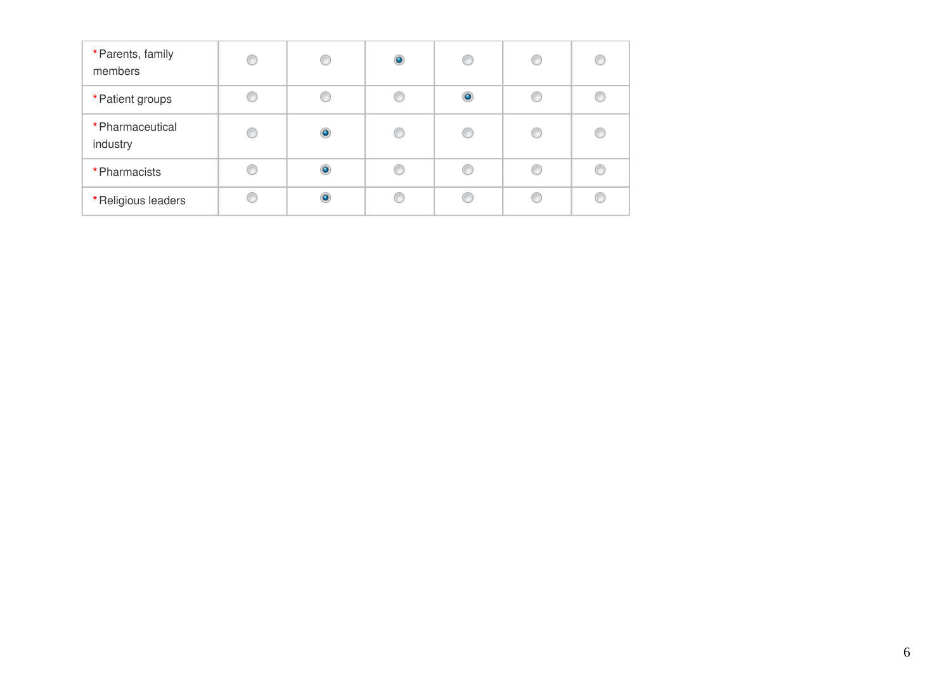| * Parents, family<br>members | C | C         | $\bullet$ | O         | C | C |
|------------------------------|---|-----------|-----------|-----------|---|---|
| * Patient groups             |   |           |           | $\bullet$ |   |   |
| * Pharmaceutical<br>industry | € | $\bullet$ |           | €         | C |   |
| * Pharmacists                |   | $\bullet$ |           | C         | C |   |
| *Religious leaders           |   | ٥         |           | €         |   |   |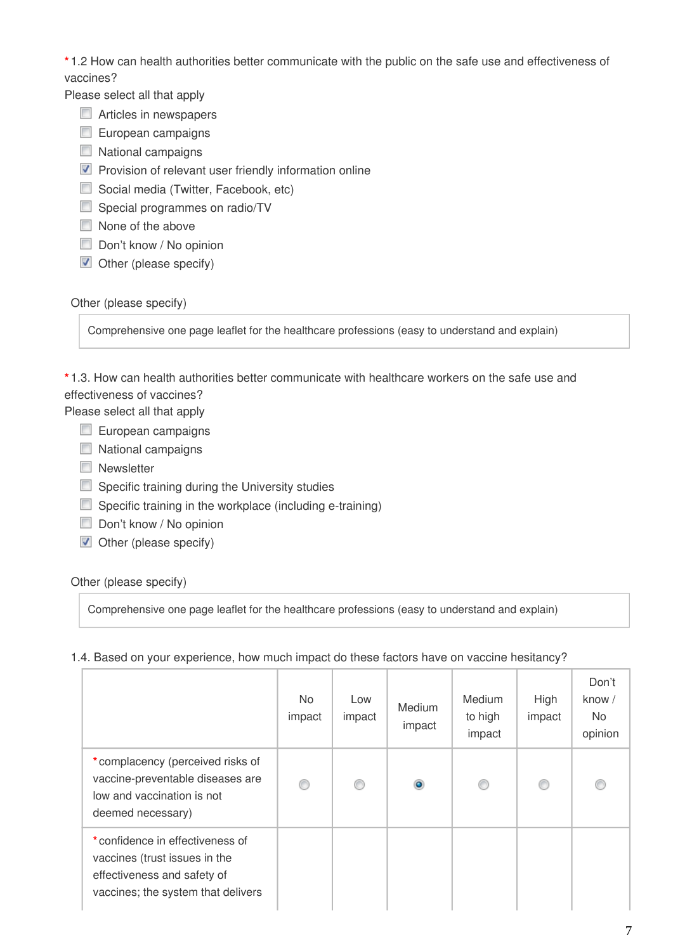**\*** 1.2 How can health authorities better communicate with the public on the safe use and effectiveness of vaccines?

Please select all that apply

- Articles in newspapers
- $\Box$  European campaigns
- $\Box$  National campaigns
- $\nabla$  Provision of relevant user friendly information online
- Social media (Twitter, Facebook, etc)
- Special programmes on radio/TV
- None of the above
- Don't know / No opinion
- $\blacksquare$  Other (please specify)

#### Other (please specify)

Comprehensive one page leaflet for the healthcare professions (easy to understand and explain)

**\*** 1.3. How can health authorities better communicate with healthcare workers on the safe use and effectiveness of vaccines?

Please select all that apply

- European campaigns
- $\Box$  National campaigns
- **Newsletter**
- $\Box$  Specific training during the University studies
- $\Box$  Specific training in the workplace (including e-training)
- Don't know / No opinion
- $\blacksquare$  Other (please specify)

### Other (please specify)

Comprehensive one page leaflet for the healthcare professions (easy to understand and explain)

### 1.4. Based on your experience, how much impact do these factors have on vaccine hesitancy?

|                                                                                                                                       | <b>No</b><br>impact | Low<br>impact | Medium<br>impact | <b>Medium</b><br>to high<br>impact | High<br>impact | Don't<br>know $/$<br><b>No</b><br>opinion |
|---------------------------------------------------------------------------------------------------------------------------------------|---------------------|---------------|------------------|------------------------------------|----------------|-------------------------------------------|
| *complacency (perceived risks of<br>vaccine-preventable diseases are<br>low and vaccination is not<br>deemed necessary)               | ⊙                   | ⊙             | $\bullet$        |                                    |                |                                           |
| *confidence in effectiveness of<br>vaccines (trust issues in the<br>effectiveness and safety of<br>vaccines; the system that delivers |                     |               |                  |                                    |                |                                           |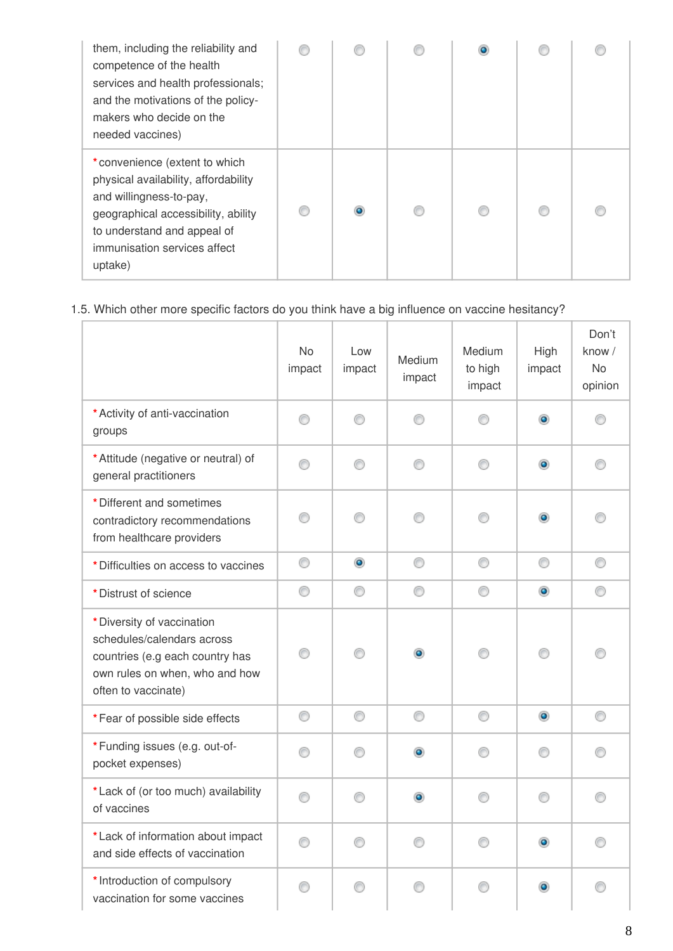| them, including the reliability and<br>competence of the health<br>services and health professionals;<br>and the motivations of the policy-<br>makers who decide on the<br>needed vaccines)                       |  |  |  |
|-------------------------------------------------------------------------------------------------------------------------------------------------------------------------------------------------------------------|--|--|--|
| *convenience (extent to which<br>physical availability, affordability<br>and willingness-to-pay,<br>geographical accessibility, ability<br>to understand and appeal of<br>immunisation services affect<br>uptake) |  |  |  |

### 1.5. Which other more specific factors do you think have a big influence on vaccine hesitancy?

|                                                                                                                                                      | <b>No</b><br>impact | Low<br>impact | Medium<br>impact | Medium<br>to high<br>impact | High<br>impact | Don't<br>know /<br><b>No</b><br>opinion |
|------------------------------------------------------------------------------------------------------------------------------------------------------|---------------------|---------------|------------------|-----------------------------|----------------|-----------------------------------------|
| * Activity of anti-vaccination<br>groups                                                                                                             | ∩                   | ∩             | ∩                |                             | $\bullet$      |                                         |
| * Attitude (negative or neutral) of<br>general practitioners                                                                                         | 0                   | ⊙             | ⊙                | ⊙                           | $\bullet$      | ∩                                       |
| * Different and sometimes<br>contradictory recommendations<br>from healthcare providers                                                              | ∩                   | ∩             | ⊙                | ∩                           | $\bullet$      |                                         |
| * Difficulties on access to vaccines                                                                                                                 | 0                   | $\bullet$     | 0                | 0                           | 0              | 0                                       |
| * Distrust of science                                                                                                                                | 0                   | ⊙             | 0                | ⊙                           | $\bullet$      | ⊙                                       |
| * Diversity of vaccination<br>schedules/calendars across<br>countries (e.g each country has<br>own rules on when, who and how<br>often to vaccinate) | ∩                   | ⋒             | $\bullet$        |                             | 0              |                                         |
| *Fear of possible side effects                                                                                                                       | 0                   | 0             | 0                | 0                           | $\bullet$      | 0                                       |
| *Funding issues (e.g. out-of-<br>pocket expenses)                                                                                                    | ⊙                   | ∩             | $\bullet$        | ∩                           | ∩              | ∩                                       |
| *Lack of (or too much) availability<br>of vaccines                                                                                                   | ∩                   | ∩             | ۰                | ∩                           | ∩              |                                         |
| *Lack of information about impact<br>and side effects of vaccination                                                                                 |                     | ⋒             | ⋒                |                             | ۰              |                                         |
| * Introduction of compulsory<br>vaccination for some vaccines                                                                                        | ∩                   | ∩             | ∩                | ∩                           | ۰              |                                         |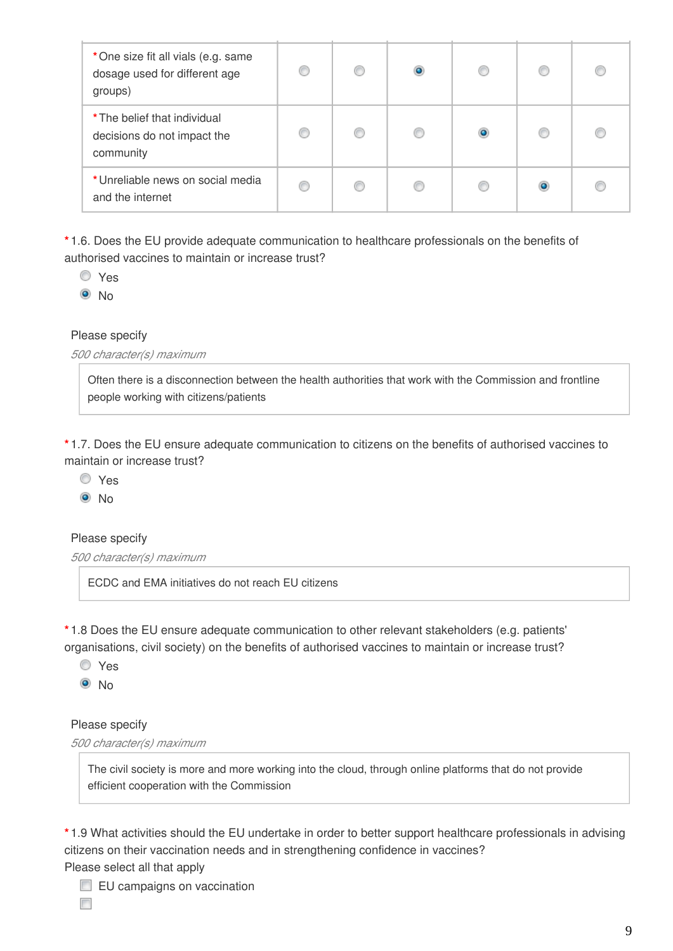| *One size fit all vials (e.g. same<br>dosage used for different age<br>groups) | O | ۰ |  |  |
|--------------------------------------------------------------------------------|---|---|--|--|
| * The belief that individual<br>decisions do not impact the<br>community       |   |   |  |  |
| *Unreliable news on social media<br>and the internet                           | € |   |  |  |

**\*** 1.6. Does the EU provide adequate communication to healthcare professionals on the benefits of authorised vaccines to maintain or increase trust?

Yes

 $\odot$  No

#### Please specify

*500 character(s) maximum*

Often there is a disconnection between the health authorities that work with the Commission and frontline people working with citizens/patients

**\*** 1.7. Does the EU ensure adequate communication to citizens on the benefits of authorised vaccines to maintain or increase trust?

Yes

 $\odot$  No

#### Please specify

*500 character(s) maximum*

ECDC and EMA initiatives do not reach EU citizens

**\*** 1.8 Does the EU ensure adequate communication to other relevant stakeholders (e.g. patients' organisations, civil society) on the benefits of authorised vaccines to maintain or increase trust?

Yes

<sup>O</sup>No

#### Please specify

*500 character(s) maximum*

The civil society is more and more working into the cloud, through online platforms that do not provide efficient cooperation with the Commission

**\*** 1.9 What activities should the EU undertake in order to better support healthcare professionals in advising citizens on their vaccination needs and in strengthening confidence in vaccines?

### Please select all that apply

EU campaigns on vaccination

 $\overline{\phantom{a}}$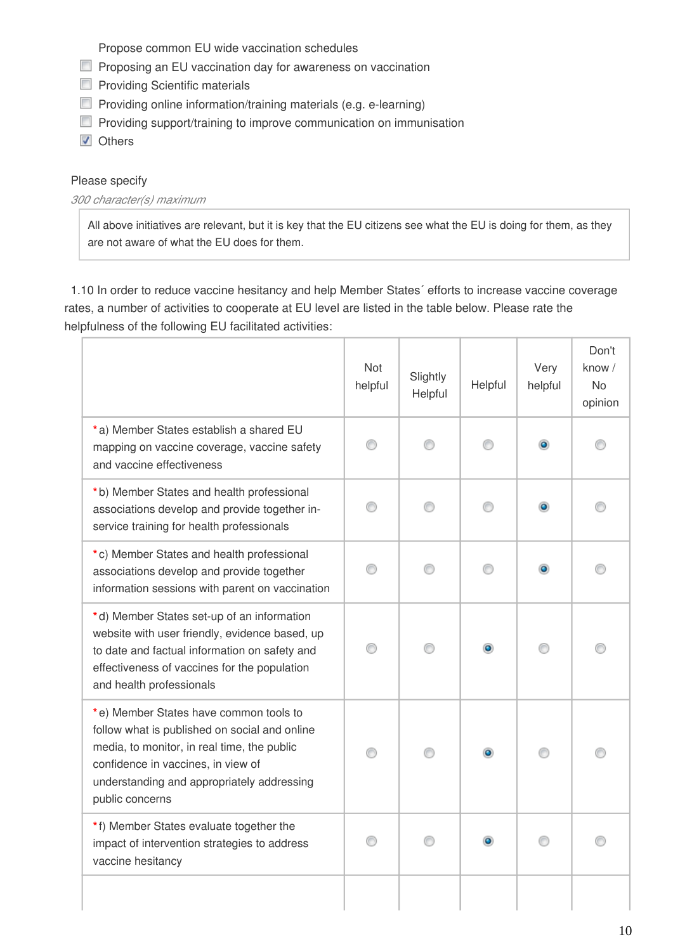Propose common EU wide vaccination schedules

- **Proposing an EU vaccination day for awareness on vaccination**
- **Providing Scientific materials**
- **Providing online information/training materials (e.g. e-learning)**
- **Providing support/training to improve communication on immunisation**

**V** Others

#### Please specify

#### *300 character(s) maximum*

All above initiatives are relevant, but it is key that the EU citizens see what the EU is doing for them, as they are not aware of what the EU does for them.

1.10 In order to reduce vaccine hesitancy and help Member States´ efforts to increase vaccine coverage rates, a number of activities to cooperate at EU level are listed in the table below. Please rate the helpfulness of the following EU facilitated activities:

|                                                                                                                                                                                                                                               | Not<br>helpful | Slightly<br>Helpful | Helpful   | Very<br>helpful | Don't<br>know $/$<br><b>No</b><br>opinion |
|-----------------------------------------------------------------------------------------------------------------------------------------------------------------------------------------------------------------------------------------------|----------------|---------------------|-----------|-----------------|-------------------------------------------|
| *a) Member States establish a shared EU<br>mapping on vaccine coverage, vaccine safety<br>and vaccine effectiveness                                                                                                                           | ⊙              |                     |           |                 |                                           |
| *b) Member States and health professional<br>associations develop and provide together in-<br>service training for health professionals                                                                                                       |                |                     |           |                 |                                           |
| *c) Member States and health professional<br>associations develop and provide together<br>information sessions with parent on vaccination                                                                                                     |                |                     |           |                 |                                           |
| *d) Member States set-up of an information<br>website with user friendly, evidence based, up<br>to date and factual information on safety and<br>effectiveness of vaccines for the population<br>and health professionals                     |                |                     |           |                 |                                           |
| *e) Member States have common tools to<br>follow what is published on social and online<br>media, to monitor, in real time, the public<br>confidence in vaccines, in view of<br>understanding and appropriately addressing<br>public concerns |                |                     | $\bullet$ |                 |                                           |
| *f) Member States evaluate together the<br>impact of intervention strategies to address<br>vaccine hesitancy                                                                                                                                  |                |                     |           |                 |                                           |
|                                                                                                                                                                                                                                               |                |                     |           |                 |                                           |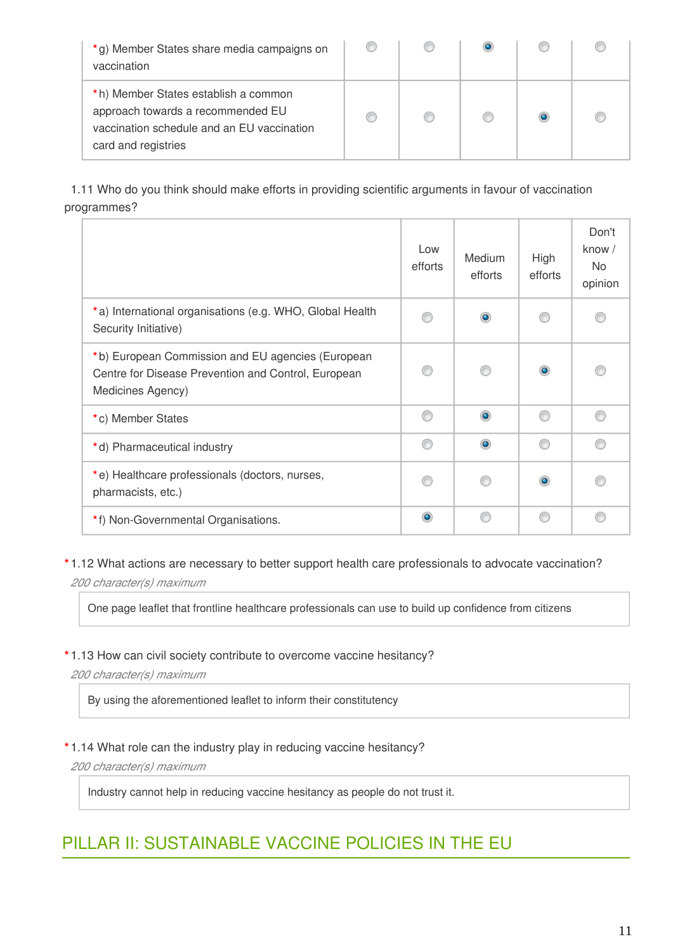| *g) Member States share media campaigns on<br>vaccination                                                                                      |  |  |  |
|------------------------------------------------------------------------------------------------------------------------------------------------|--|--|--|
| *h) Member States establish a common<br>approach towards a recommended EU<br>vaccination schedule and an EU vaccination<br>card and registries |  |  |  |

1.11 Who do you think should make efforts in providing scientific arguments in favour of vaccination programmes?

|                                                                                                                               | Low<br>efforts | Medium<br>efforts | High<br>efforts | Don't<br>know /<br>No<br>opinion |
|-------------------------------------------------------------------------------------------------------------------------------|----------------|-------------------|-----------------|----------------------------------|
| *a) International organisations (e.g. WHO, Global Health<br>Security Initiative)                                              |                |                   |                 |                                  |
| *b) European Commission and EU agencies (European<br>Centre for Disease Prevention and Control, European<br>Medicines Agency) |                |                   | $\bullet$       |                                  |
| *c) Member States                                                                                                             | ⋒              | ۵                 |                 |                                  |
| *d) Pharmaceutical industry                                                                                                   | ⋒              | ۵                 |                 |                                  |
| *e) Healthcare professionals (doctors, nurses,<br>pharmacists, etc.)                                                          |                |                   | $\bullet$       |                                  |
| *f) Non-Governmental Organisations.                                                                                           | $\bullet$      |                   |                 |                                  |

**\*** 1.12 What actions are necessary to better support health care professionals to advocate vaccination? *200 character(s) maximum*

One page leaflet that frontline healthcare professionals can use to build up confidence from citizens

#### **\*** 1.13 How can civil society contribute to overcome vaccine hesitancy?

*200 character(s) maximum*

By using the aforementioned leaflet to inform their constitutency

#### **\*** 1.14 What role can the industry play in reducing vaccine hesitancy?

*200 character(s) maximum*

Industry cannot help in reducing vaccine hesitancy as people do not trust it.

## PILLAR II: SUSTAINABLE VACCINE POLICIES IN THE EU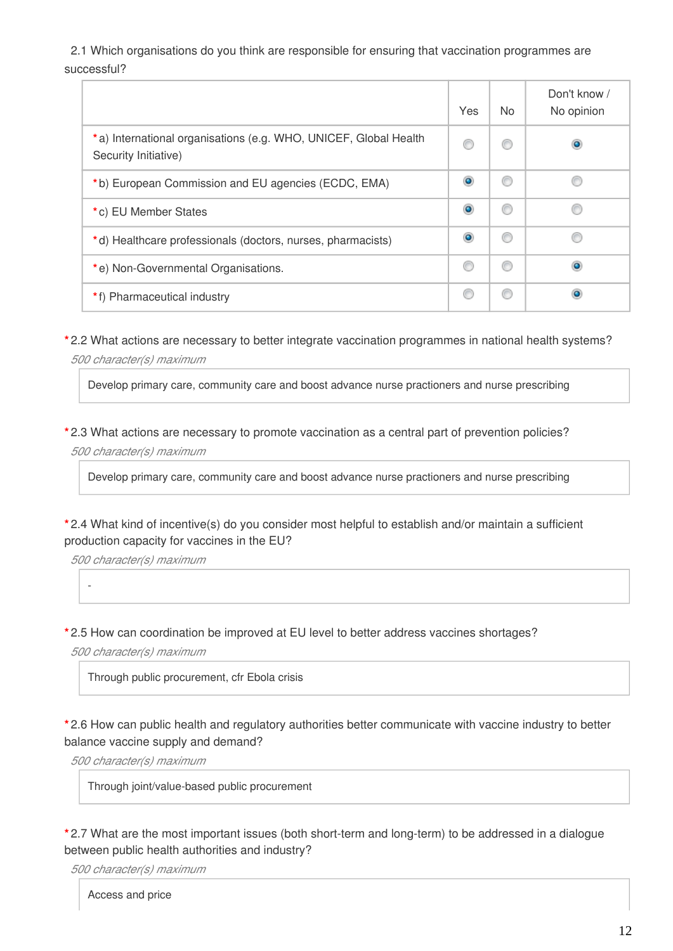2.1 Which organisations do you think are responsible for ensuring that vaccination programmes are successful?

|                                                                                          | Yes | No. | Don't know /<br>No opinion |
|------------------------------------------------------------------------------------------|-----|-----|----------------------------|
| *a) International organisations (e.g. WHO, UNICEF, Global Health<br>Security Initiative) |     | O   |                            |
| *b) European Commission and EU agencies (ECDC, EMA)                                      |     | C   |                            |
| *c) EU Member States                                                                     | o   | €   |                            |
| *d) Healthcare professionals (doctors, nurses, pharmacists)                              |     | ◎   |                            |
| *e) Non-Governmental Organisations.                                                      | C   | ◎   | ۰                          |
| *f) Pharmaceutical industry                                                              | C   | €   |                            |

**\*** 2.2 What actions are necessary to better integrate vaccination programmes in national health systems? *500 character(s) maximum*

Develop primary care, community care and boost advance nurse practioners and nurse prescribing

**\*** 2.3 What actions are necessary to promote vaccination as a central part of prevention policies? *500 character(s) maximum*

Develop primary care, community care and boost advance nurse practioners and nurse prescribing

**\*** 2.4 What kind of incentive(s) do you consider most helpful to establish and/or maintain a sufficient production capacity for vaccines in the EU?

*500 character(s) maximum*

-

**\*** 2.5 How can coordination be improved at EU level to better address vaccines shortages?

*500 character(s) maximum*

Through public procurement, cfr Ebola crisis

**\*** 2.6 How can public health and regulatory authorities better communicate with vaccine industry to better balance vaccine supply and demand?

*500 character(s) maximum*

Through joint/value-based public procurement

**\*** 2.7 What are the most important issues (both short-term and long-term) to be addressed in a dialogue between public health authorities and industry?

*500 character(s) maximum*

Access and price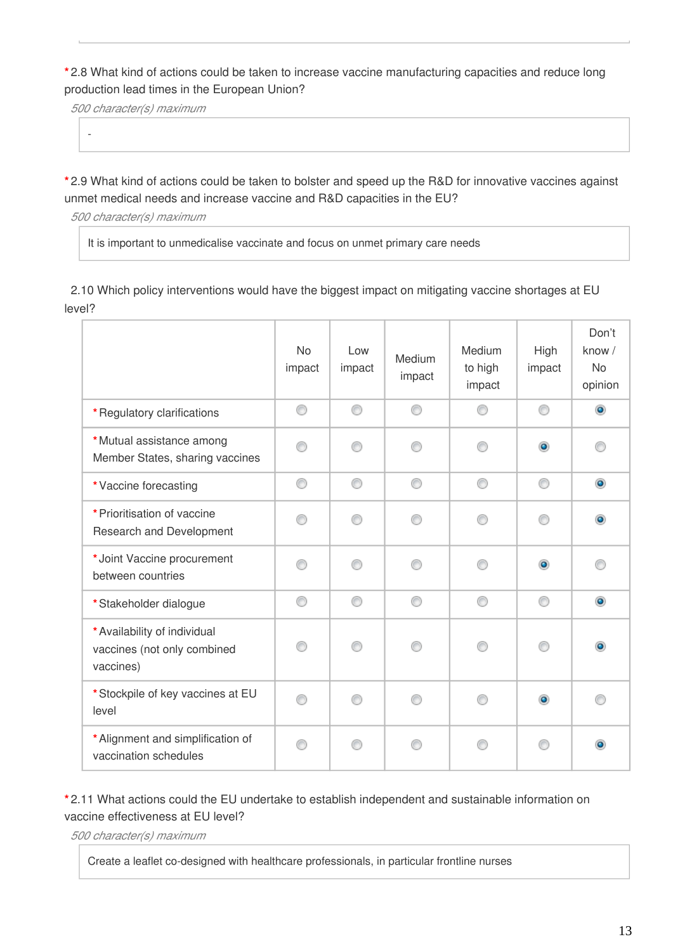**\*** 2.8 What kind of actions could be taken to increase vaccine manufacturing capacities and reduce long production lead times in the European Union?

*500 character(s) maximum*

-

**\*** 2.9 What kind of actions could be taken to bolster and speed up the R&D for innovative vaccines against unmet medical needs and increase vaccine and R&D capacities in the EU?

*500 character(s) maximum*

It is important to unmedicalise vaccinate and focus on unmet primary care needs

2.10 Which policy interventions would have the biggest impact on mitigating vaccine shortages at EU level?

|                                                                          | <b>No</b><br>impact | Low<br>impact | Medium<br>impact | Medium<br>to high<br>impact | High<br>impact | Don't<br>know /<br><b>No</b><br>opinion |
|--------------------------------------------------------------------------|---------------------|---------------|------------------|-----------------------------|----------------|-----------------------------------------|
| *Regulatory clarifications                                               | ⊙                   | ⊙             | ⊙                | ∩                           | ⊙              | $\bullet$                               |
| *Mutual assistance among<br>Member States, sharing vaccines              | ∩                   | ∩             | ⋒                | ∩                           | $\bullet$      |                                         |
| *Vaccine forecasting                                                     | ⊙                   | ⊙             | ⊙                | ⊙                           | ⊙              | $\bullet$                               |
| * Prioritisation of vaccine<br>Research and Development                  | ∩                   | ∩             | ⋒                | ⋒                           | ⋒              |                                         |
| *Joint Vaccine procurement<br>between countries                          | ⋒                   | ⋒             | ⋒                | ⋒                           | $\bullet$      |                                         |
| *Stakeholder dialogue                                                    | ⊙                   | ⊙             | ⊙                | ⊙                           | ⊙              | $\bullet$                               |
| * Availability of individual<br>vaccines (not only combined<br>vaccines) |                     |               |                  |                             | ∩              |                                         |
| * Stockpile of key vaccines at EU<br>level                               | ⋒                   | ∩             | ⋒                | ⋒                           | $\bullet$      |                                         |
| * Alignment and simplification of<br>vaccination schedules               | ∩                   | ∩             |                  |                             |                |                                         |

### **\*** 2.11 What actions could the EU undertake to establish independent and sustainable information on vaccine effectiveness at EU level?

*500 character(s) maximum*

Create a leaflet co-designed with healthcare professionals, in particular frontline nurses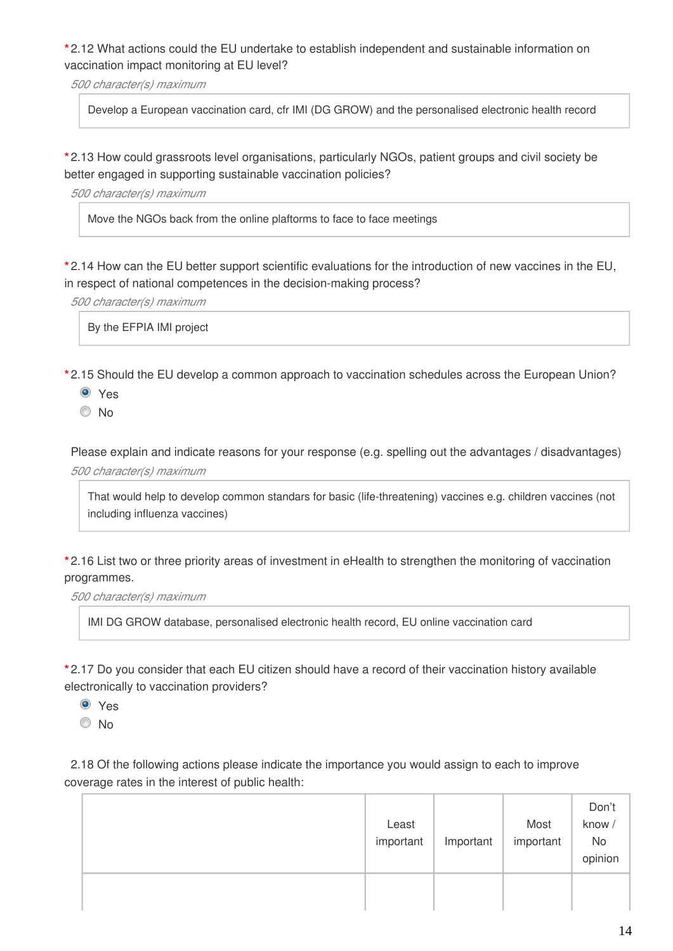**\*** 2.12 What actions could the EU undertake to establish independent and sustainable information on vaccination impact monitoring at EU level?

*500 character(s) maximum*

Develop a European vaccination card, cfr IMI (DG GROW) and the personalised electronic health record

**\*** 2.13 How could grassroots level organisations, particularly NGOs, patient groups and civil society be better engaged in supporting sustainable vaccination policies?

#### *500 character(s) maximum*

Move the NGOs back from the online plaftorms to face to face meetings

**\*** 2.14 How can the EU better support scientific evaluations for the introduction of new vaccines in the EU, in respect of national competences in the decision-making process?

*500 character(s) maximum*

By the EFPIA IMI project

**\*** 2.15 Should the EU develop a common approach to vaccination schedules across the European Union?

- Yes
- No

Please explain and indicate reasons for your response (e.g. spelling out the advantages / disadvantages) *500 character(s) maximum*

That would help to develop common standars for basic (life-threatening) vaccines e.g. children vaccines (not including influenza vaccines)

**\*** 2.16 List two or three priority areas of investment in eHealth to strengthen the monitoring of vaccination programmes.

*500 character(s) maximum*

IMI DG GROW database, personalised electronic health record, EU online vaccination card

**\*** 2.17 Do you consider that each EU citizen should have a record of their vaccination history available electronically to vaccination providers?

Yes

No

2.18 Of the following actions please indicate the importance you would assign to each to improve coverage rates in the interest of public health:

|  | Least<br>important | Important | Most<br>important | Don't<br>know/<br>No<br>opinion |
|--|--------------------|-----------|-------------------|---------------------------------|
|  |                    |           |                   |                                 |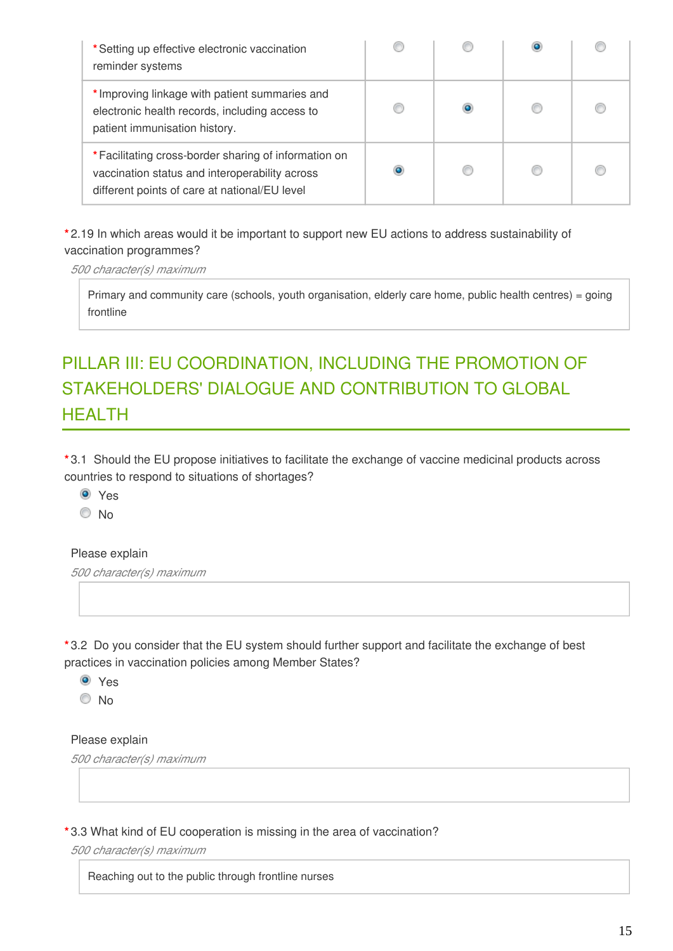| *Setting up effective electronic vaccination<br>reminder systems                                                                                         |  |  |
|----------------------------------------------------------------------------------------------------------------------------------------------------------|--|--|
| * Improving linkage with patient summaries and<br>electronic health records, including access to<br>patient immunisation history.                        |  |  |
| * Facilitating cross-border sharing of information on<br>vaccination status and interoperability across<br>different points of care at national/EU level |  |  |

**\*** 2.19 In which areas would it be important to support new EU actions to address sustainability of vaccination programmes?

*500 character(s) maximum*

Primary and community care (schools, youth organisation, elderly care home, public health centres) = going frontline

# PILLAR III: EU COORDINATION, INCLUDING THE PROMOTION OF STAKEHOLDERS' DIALOGUE AND CONTRIBUTION TO GLOBAL **HFALTH**

**\*** 3.1 Should the EU propose initiatives to facilitate the exchange of vaccine medicinal products across countries to respond to situations of shortages?

Yes

© No

#### Please explain

*500 character(s) maximum*

**\*** 3.2 Do you consider that the EU system should further support and facilitate the exchange of best practices in vaccination policies among Member States?

Yes

© No

#### Please explain

*500 character(s) maximum*

**\*** 3.3 What kind of EU cooperation is missing in the area of vaccination?

*500 character(s) maximum*

Reaching out to the public through frontline nurses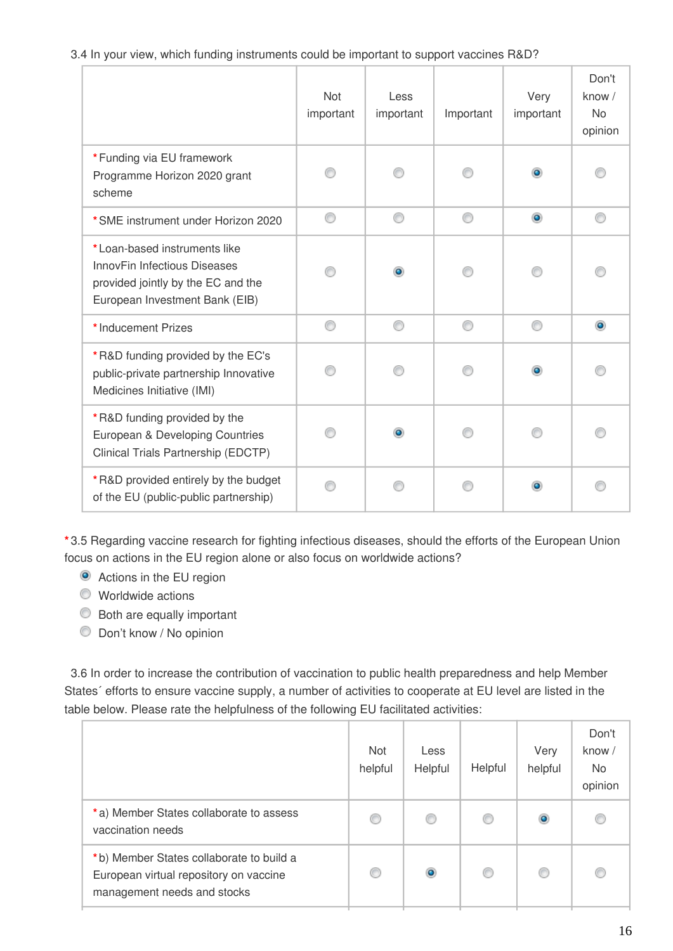3.4 In your view, which funding instruments could be important to support vaccines R&D?

|                                                                                                                                      | Not<br>important | Less<br>important | Important | Very<br>important | Don't<br>know /<br><b>No</b><br>opinion |
|--------------------------------------------------------------------------------------------------------------------------------------|------------------|-------------------|-----------|-------------------|-----------------------------------------|
| *Funding via EU framework<br>Programme Horizon 2020 grant<br>scheme                                                                  |                  |                   |           | $\bullet$         |                                         |
| *SME instrument under Horizon 2020                                                                                                   | ⊙                | ⊙                 | ⊙         | $\bullet$         |                                         |
| *Loan-based instruments like<br>InnovFin Infectious Diseases<br>provided jointly by the EC and the<br>European Investment Bank (EIB) |                  |                   |           |                   |                                         |
| * Inducement Prizes                                                                                                                  | ⊙                | ∩                 | ⊙         | ∩                 |                                         |
| *R&D funding provided by the EC's<br>public-private partnership Innovative<br>Medicines Initiative (IMI)                             |                  |                   |           | $\bullet$         |                                         |
| *R&D funding provided by the<br>European & Developing Countries<br>Clinical Trials Partnership (EDCTP)                               |                  |                   |           |                   |                                         |
| *R&D provided entirely by the budget<br>of the EU (public-public partnership)                                                        |                  |                   |           | $\bullet$         |                                         |

**\*** 3.5 Regarding vaccine research for fighting infectious diseases, should the efforts of the European Union focus on actions in the EU region alone or also focus on worldwide actions?

Actions in the EU region

- Worldwide actions
- Both are equally important
- Don't know / No opinion

3.6 In order to increase the contribution of vaccination to public health preparedness and help Member States´ efforts to ensure vaccine supply, a number of activities to cooperate at EU level are listed in the table below. Please rate the helpfulness of the following EU facilitated activities:

|                                                                                                                   | <b>Not</b><br>helpful | Less<br>Helpful | Helpful | Very<br>helpful | Don't<br>know $/$<br>No.<br>opinion |
|-------------------------------------------------------------------------------------------------------------------|-----------------------|-----------------|---------|-----------------|-------------------------------------|
| *a) Member States collaborate to assess<br>vaccination needs                                                      | Œ                     |                 | ⊙       |                 |                                     |
| *b) Member States collaborate to build a<br>European virtual repository on vaccine<br>management needs and stocks | C                     | ۰               | ⊙       |                 |                                     |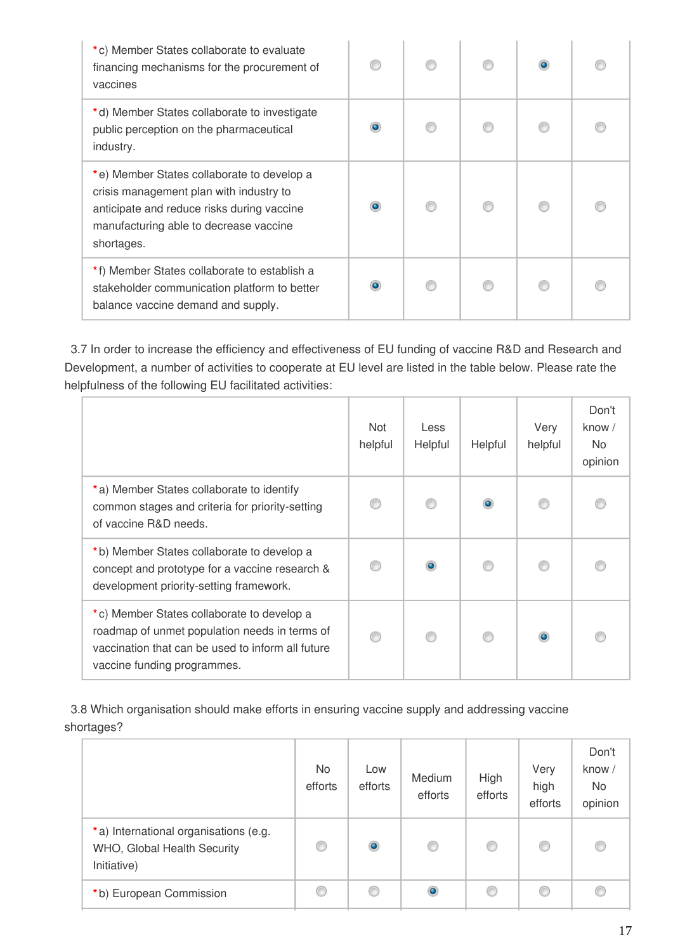| *c) Member States collaborate to evaluate<br>financing mechanisms for the procurement of<br>vaccines                                                                                        |  |  |  |
|---------------------------------------------------------------------------------------------------------------------------------------------------------------------------------------------|--|--|--|
| *d) Member States collaborate to investigate<br>public perception on the pharmaceutical<br>industry.                                                                                        |  |  |  |
| *e) Member States collaborate to develop a<br>crisis management plan with industry to<br>anticipate and reduce risks during vaccine<br>manufacturing able to decrease vaccine<br>shortages. |  |  |  |
| *f) Member States collaborate to establish a<br>stakeholder communication platform to better<br>balance vaccine demand and supply.                                                          |  |  |  |

3.7 In order to increase the efficiency and effectiveness of EU funding of vaccine R&D and Research and Development, a number of activities to cooperate at EU level are listed in the table below. Please rate the helpfulness of the following EU facilitated activities:

|                                                                                                                                                                                 | Not<br>helpful | Less<br>Helpful | Helpful   | Very<br>helpful | Don't<br>know $/$<br>No.<br>opinion |
|---------------------------------------------------------------------------------------------------------------------------------------------------------------------------------|----------------|-----------------|-----------|-----------------|-------------------------------------|
| *a) Member States collaborate to identify<br>common stages and criteria for priority-setting<br>of vaccine R&D needs.                                                           |                |                 | $\bullet$ |                 |                                     |
| *b) Member States collaborate to develop a<br>concept and prototype for a vaccine research &<br>development priority-setting framework.                                         |                |                 |           |                 |                                     |
| *c) Member States collaborate to develop a<br>roadmap of unmet population needs in terms of<br>vaccination that can be used to inform all future<br>vaccine funding programmes. |                |                 | ⋒         |                 |                                     |

3.8 Which organisation should make efforts in ensuring vaccine supply and addressing vaccine shortages?

|                                                                                     | No.<br>efforts | Low<br>efforts | Medium<br>efforts | High<br>efforts | Very<br>high<br>efforts | Don't<br>know /<br>No.<br>opinion |
|-------------------------------------------------------------------------------------|----------------|----------------|-------------------|-----------------|-------------------------|-----------------------------------|
| *a) International organisations (e.g.<br>WHO, Global Health Security<br>Initiative) | C              | $\bullet$      | ◎                 | O               | ◎                       |                                   |
| *b) European Commission                                                             | €              | C              | ۱                 | O               | €                       |                                   |